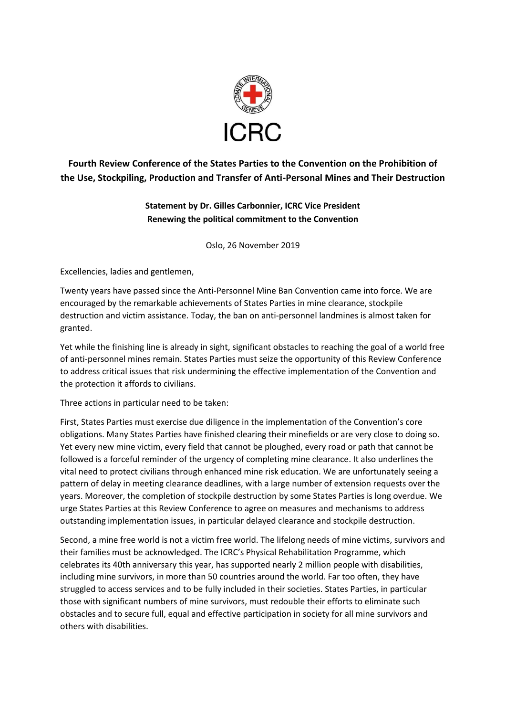

**Fourth Review Conference of the States Parties to the Convention on the Prohibition of the Use, Stockpiling, Production and Transfer of Anti-Personal Mines and Their Destruction**

## **Statement by Dr. Gilles Carbonnier, ICRC Vice President Renewing the political commitment to the Convention**

Oslo, 26 November 2019

Excellencies, ladies and gentlemen,

Twenty years have passed since the Anti-Personnel Mine Ban Convention came into force. We are encouraged by the remarkable achievements of States Parties in mine clearance, stockpile destruction and victim assistance. Today, the ban on anti-personnel landmines is almost taken for granted.

Yet while the finishing line is already in sight, significant obstacles to reaching the goal of a world free of anti-personnel mines remain. States Parties must seize the opportunity of this Review Conference to address critical issues that risk undermining the effective implementation of the Convention and the protection it affords to civilians.

Three actions in particular need to be taken:

First, States Parties must exercise due diligence in the implementation of the Convention's core obligations. Many States Parties have finished clearing their minefields or are very close to doing so. Yet every new mine victim, every field that cannot be ploughed, every road or path that cannot be followed is a forceful reminder of the urgency of completing mine clearance. It also underlines the vital need to protect civilians through enhanced mine risk education. We are unfortunately seeing a pattern of delay in meeting clearance deadlines, with a large number of extension requests over the years. Moreover, the completion of stockpile destruction by some States Parties is long overdue. We urge States Parties at this Review Conference to agree on measures and mechanisms to address outstanding implementation issues, in particular delayed clearance and stockpile destruction.

Second, a mine free world is not a victim free world. The lifelong needs of mine victims, survivors and their families must be acknowledged. The ICRC's Physical Rehabilitation Programme, which celebrates its 40th anniversary this year, has supported nearly 2 million people with disabilities, including mine survivors, in more than 50 countries around the world. Far too often, they have struggled to access services and to be fully included in their societies. States Parties, in particular those with significant numbers of mine survivors, must redouble their efforts to eliminate such obstacles and to secure full, equal and effective participation in society for all mine survivors and others with disabilities.